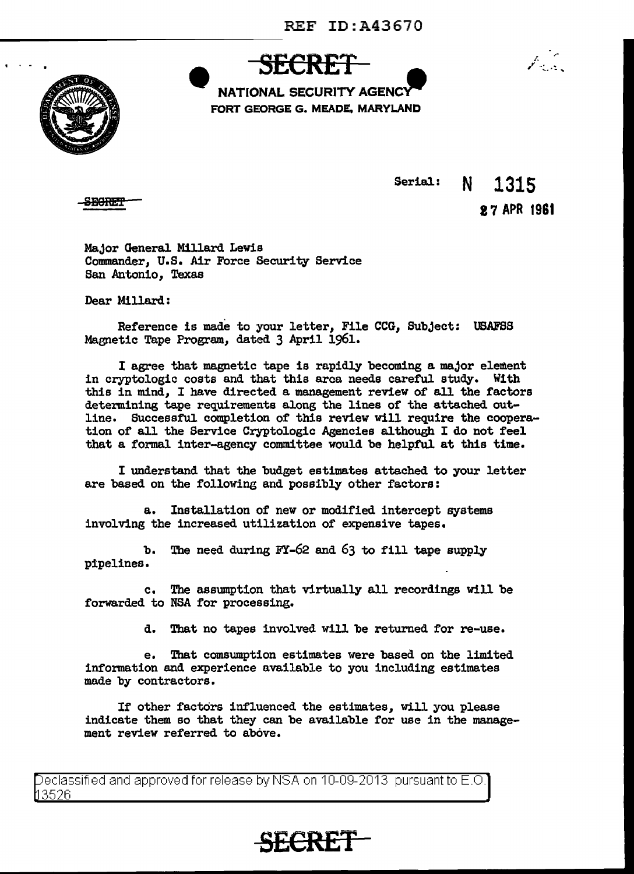

**SECRET NATIONAL SECURITY AGENC** FORT GEORGE G. MEADE, MARYLAND



SECRET

Serial: N 1315

17 APR 1961

Major General Millard Lewis Commander, U.S. Air Force Security Service San Antonio, Texas

Dear Millard:

Reference is made to your letter, File CCG, Subject: USAFSS Magnetic Tape Program, dated 3 April 1961.

I agree that magnetic tape is rapidly becoming a major element in cryptologic costs and that this area needs careful study. With this in mind, I have directed a management review of all the factors determining tape requirements along the lines of the attached outline. Successful completion of this review will require the cooperation of all the Service Cryptologic Agencies although I do not feel that a formal inter-agency committee would be helpful at this time.

I understand that the budget estimates attached to your letter are based on the following and possibly other factors:

a. Installation of new or modified intercept systems involving the increased utilization of expensive tapes.

b. The need during FY-62 and 63 to fill tape supply pipelines.

c. The assumption that virtually all recordings will be forwarded to NSA for processing.

d. That no tapes involved will be returned for re-use.

e. That comsumption estimates were based on the limited information and experience available to you including estimates made by contractors.

If other factors influenced the estimates, will you please indicate them so that they can be available for use in the management review referred to above.

eclassified and approved for release by NSA on 10-09-2013 pursuant to E.O. 3526

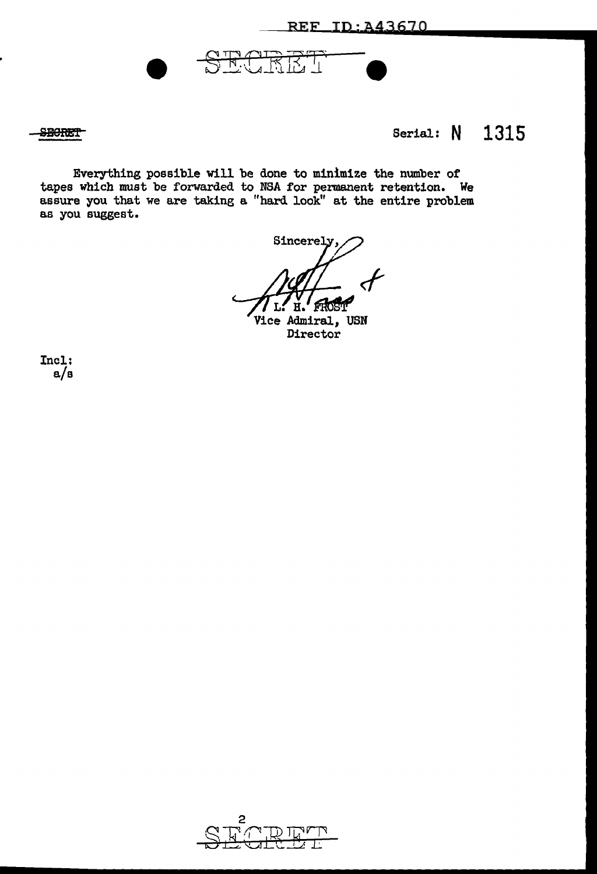REF ID: A43670

# **SBORET** Serial: **N** 1315

Everything possible will be done to minimize the number of tapes which must be forwarded to NSA for permanent retention. We assure you that we are taking a "hard look" at the entire problem as you suggest.

<u>RUKEL</u>

Sincerely,  $\boldsymbol{\mathcal{F}}$ L. H. fifdH'

Vice Admiral, USN **Director** 

Incl: a/s

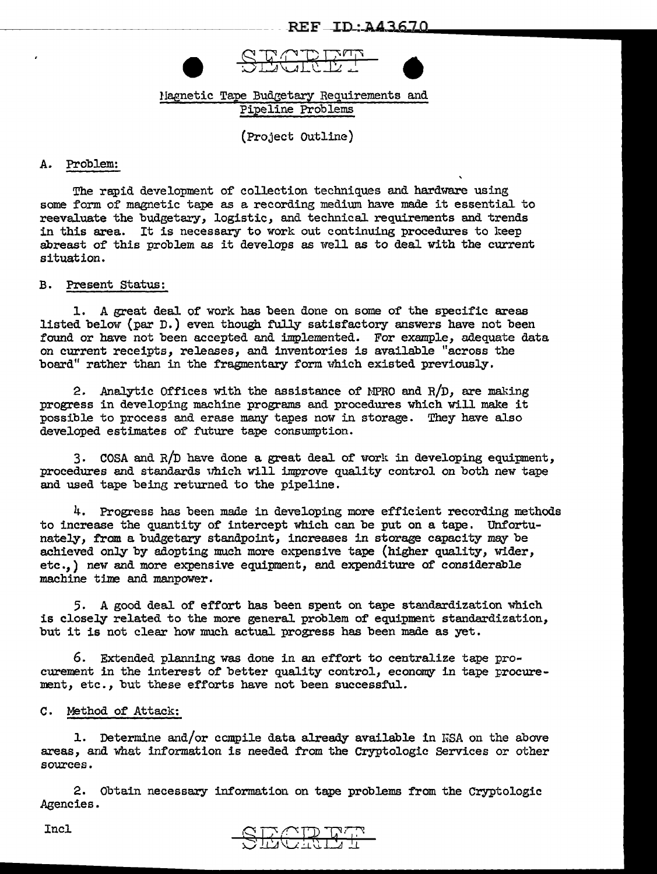

# Magnetic Tape Budgetary Requirements and Pipeline Problems

(Project Outline)

### A. Problem:

The rapid development of collection techniques and hardware using some form of magnetic tape as a recording medium have made it essential to reevaluate the budgetary, logistic, and technical requirements and trends in this area. It is necessary to work out continuing procedures to keep abreast of' this problem as it develops as well as to deal with the current situation.

## B. Present Status:

1. A great deal of work has been done on some of the specific areas listed below (par D.) even though fully satisfactory answers have not been found or have not been accepted and implemented. For example, adequate data on current receipts, releases, and inventories is available "across the board" rather than in the fragmentary form which existed previously.

2. Analytic Offices with the assistance of MPRO and  $R/D$ , are making progress in developing machine programs and procedures which Will make it possible to process and erase many tapes now in storage. They have also developed estimates of future tape consumption.

3. COSA and  $R/D$  have done a great deal of work in developing equipment, procedures and standards which will improve quality control on both new tape and used tape being returned to the pipeline.

4. Progress has been made in developing more efficient recording methods to increase the quantity of intercept which can be put on a tape. Unfortunately, from a budgetary standpoint, increases in storage capacity mey be achieved only by adopting much more expensive tape (higher quality, wider, etc.,) new and more expensive equipment, and expenditure of considerable machine tine and manpower.

5. A good deal of effort has been spent on tape standardization which is closely related to the more general problem of equipment standardization, but it is not clear how much actual progress has been made as yet.

6. Extended planning was done in an effort to centralize tape procurement in the interest of better quality control, economy in tape procurement, etc., but these efforts have not been successful.

### c. Method of Attack:

1. Determine and/or compile data already available in KSA on the above areas, and what information is needed from the Cryptologic Services or other sources.

2. Obtain necessary information on tape problems from the Cryptologic Agencies.



Incl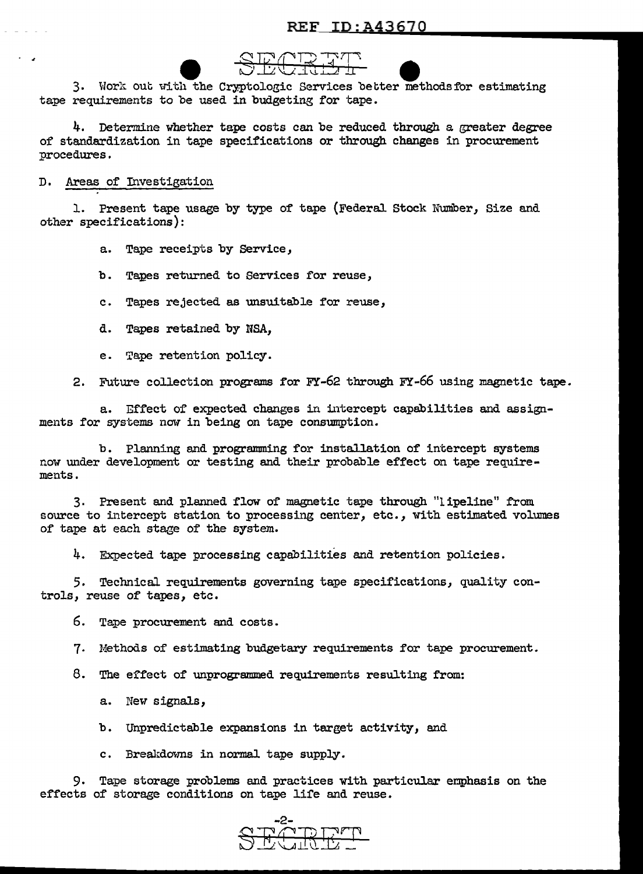

e such that the Cryptologic Services better methods for estimating<br>3. Work out with the Cryptologic Services better methods for estimating tape requirements to be used in budgeting for tape.

4. Determine whether tape costs can be reduced through a greater degree of standardization in tape specifications or through changes in procurement procedures .

#### D. Areas of Investigation

• J

1. Present tape usage by type of tape (Federal Stock Number, Size and other specifications):

a. Tape receipts by Service,

b. Tapes returned to Services for reuse,

c. Tapes rejected as unsuitable for reuse,

- d. Tapes retained by MSA,
- e. Tape retention policy.

2. Future collection programs for  $FY-62$  through  $FY-66$  using magnetic tape.

a. Effect of expected changes in intercept capabilities and assignments for systems now in being on tape consumption.

b. Planning and programming for installation of intercept systems now under development or testing and their probable effect on tape requirements.

3. Present and planned flow of magnetic tape through "lipeline" from source to intercept station to processing center, etc., with estimated volumes of tape at each stage of the system.

4. Expected tape processing capabilities and retention policies.

5. Technical requirements governing tape specifications, quality controls, reuse of tapes, etc.

6. Tape procurement and costs.

7. Methods of estimating budgetary requirements for tape procurement.

8. The effect of unprogrammed requirements resulting from:

a. New signals,

b. Unpredictable expansions in target activity, and

c. Breakdowns in normal tape supply.

9. Tape storage problems and practices with particular emphasis on the effects of storage conditions on tape life and reuse.